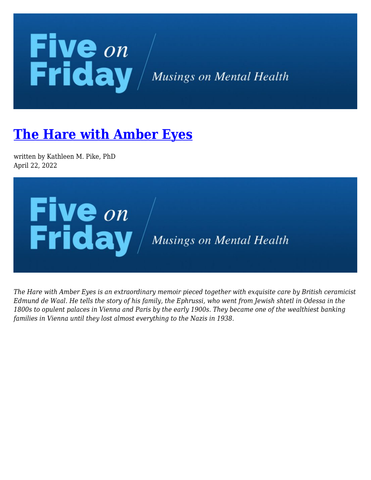## **Five** on<br>Friday / Musings on Mental Health

## **[The Hare with Amber Eyes](https://kathypikephd.com/five-on-friday/the-hare-with-amber-eyes/)**

written by Kathleen M. Pike, PhD April 22, 2022



*The Hare with Amber Eyes is an extraordinary memoir pieced together with exquisite care by British ceramicist Edmund de Waal. He tells the story of his family, the Ephrussi, who went from Jewish shtetl in Odessa in the 1800s to opulent palaces in Vienna and Paris by the early 1900s. They became one of the wealthiest banking families in Vienna until they lost almost everything to the Nazis in 1938.*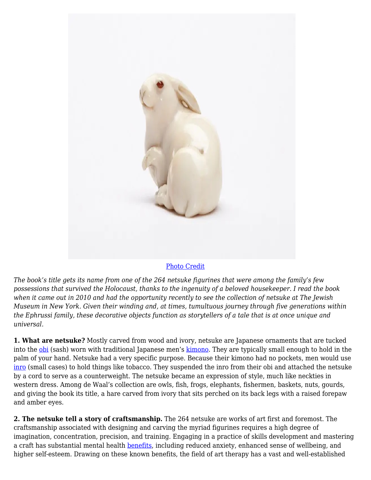

## [Photo Credit](https://static01.nyt.com/images/2019/11/12/arts/12dewaal1/12dewaal1-jumbo.jpg?quality=75&auto=webp)

*The book's title gets its name from one of the 264 netsuke figurines that were among the family's few possessions that survived the Holocaust, thanks to the ingenuity of a beloved housekeeper. I read the book when it came out in 2010 and had the opportunity recently to see the collection of netsuke at The Jewish Museum in New York. Given their winding and, at times, tumultuous journey through five generations within the Ephrussi family, these decorative objects function as storytellers of a tale that is at once unique and universal.*

**1. What are netsuke?** Mostly carved from wood and ivory, netsuke are Japanese ornaments that are tucked into the [obi](https://en.wikipedia.org/wiki/Obi_(sash)) (sash) worn with traditional Japanese men's [kimono](https://en.wikipedia.org/wiki/Kimono). They are typically small enough to hold in the palm of your hand. Netsuke had a very specific purpose. Because their kimono had no pockets, men would use [inro](https://en.wikipedia.org/wiki/Inro) (small cases) to hold things like tobacco. They suspended the inro from their obi and attached the netsuke by a cord to serve as a counterweight. The netsuke became an expression of style, much like neckties in western dress. Among de Waal's collection are owls, fish, frogs, elephants, fishermen, baskets, nuts, gourds, and giving the book its title, a hare carved from ivory that sits perched on its back legs with a raised forepaw and amber eyes.

**2. The netsuke tell a story of craftsmanship.** The 264 netsuke are works of art first and foremost. The craftsmanship associated with designing and carving the myriad figurines requires a high degree of imagination, concentration, precision, and training. Engaging in a practice of skills development and mastering a craft has substantial mental health **benefits**, including reduced anxiety, enhanced sense of wellbeing, and higher self-esteem. Drawing on these known benefits, the field of art therapy has a vast and well-established